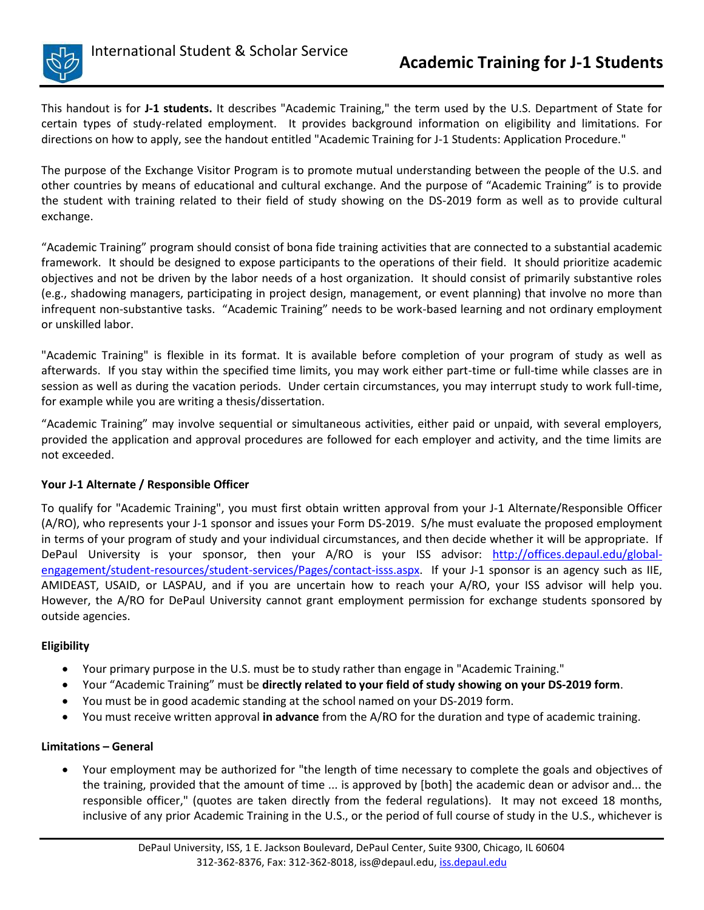

This handout is for **J-1 students.** It describes "Academic Training," the term used by the U.S. Department of State for certain types of study-related employment. It provides background information on eligibility and limitations. For directions on how to apply, see the handout entitled "Academic Training for J-1 Students: Application Procedure."

The purpose of the Exchange Visitor Program is to promote mutual understanding between the people of the U.S. and other countries by means of educational and cultural exchange. And the purpose of "Academic Training" is to provide the student with training related to their field of study showing on the DS-2019 form as well as to provide cultural exchange.

"Academic Training" program should consist of bona fide training activities that are connected to a substantial academic framework. It should be designed to expose participants to the operations of their field. It should prioritize academic objectives and not be driven by the labor needs of a host organization. It should consist of primarily substantive roles (e.g., shadowing managers, participating in project design, management, or event planning) that involve no more than infrequent non-substantive tasks. "Academic Training" needs to be work-based learning and not ordinary employment or unskilled labor.

"Academic Training" is flexible in its format. It is available before completion of your program of study as well as afterwards. If you stay within the specified time limits, you may work either part-time or full-time while classes are in session as well as during the vacation periods. Under certain circumstances, you may interrupt study to work full-time, for example while you are writing a thesis/dissertation.

"Academic Training" may involve sequential or simultaneous activities, either paid or unpaid, with several employers, provided the application and approval procedures are followed for each employer and activity, and the time limits are not exceeded.

## **Your J-1 Alternate / Responsible Officer**

To qualify for "Academic Training", you must first obtain written approval from your J-1 Alternate/Responsible Officer (A/RO), who represents your J-1 sponsor and issues your Form DS-2019. S/he must evaluate the proposed employment in terms of your program of study and your individual circumstances, and then decide whether it will be appropriate. If DePaul University is your sponsor, then your A/RO is your ISS advisor: [http://offices.depaul.edu/global](http://offices.depaul.edu/global-engagement/student-resources/student-services/Pages/contact-isss.aspx)[engagement/student-resources/student-services/Pages/contact-isss.aspx.](http://offices.depaul.edu/global-engagement/student-resources/student-services/Pages/contact-isss.aspx) If your J-1 sponsor is an agency such as IIE, AMIDEAST, USAID, or LASPAU, and if you are uncertain how to reach your A/RO, your ISS advisor will help you. However, the A/RO for DePaul University cannot grant employment permission for exchange students sponsored by outside agencies.

## **Eligibility**

- Your primary purpose in the U.S. must be to study rather than engage in "Academic Training."
- Your "Academic Training" must be **directly related to your field of study showing on your DS-2019 form**.
- You must be in good academic standing at the school named on your DS-2019 form.
- You must receive written approval **in advance** from the A/RO for the duration and type of academic training.

## **Limitations – General**

 Your employment may be authorized for "the length of time necessary to complete the goals and objectives of the training, provided that the amount of time ... is approved by [both] the academic dean or advisor and... the responsible officer," (quotes are taken directly from the federal regulations). It may not exceed 18 months, inclusive of any prior Academic Training in the U.S., or the period of full course of study in the U.S., whichever is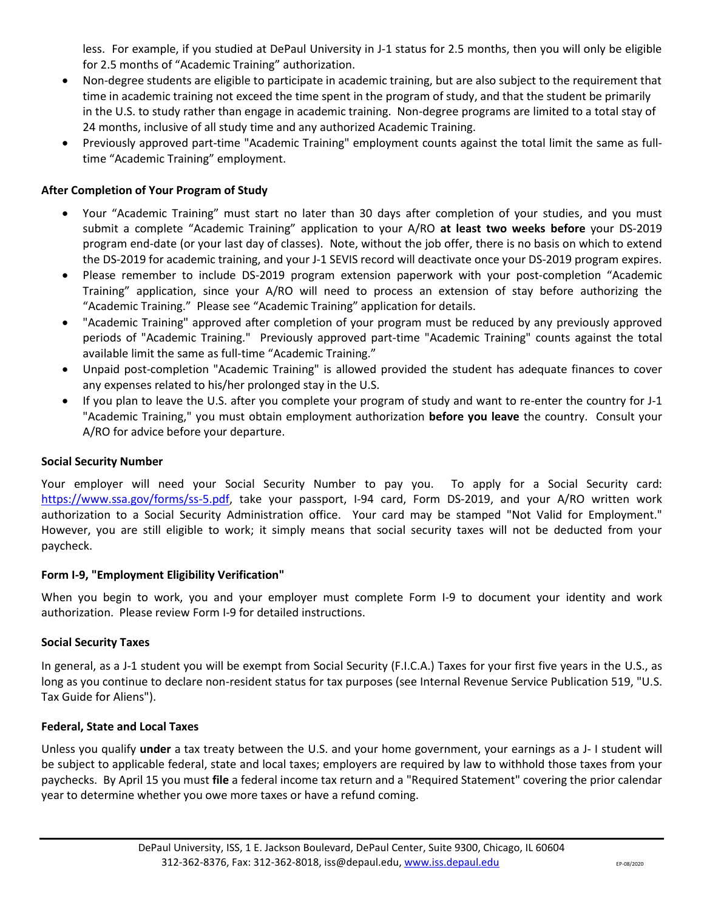less. For example, if you studied at DePaul University in J-1 status for 2.5 months, then you will only be eligible for 2.5 months of "Academic Training" authorization.

- Non-degree students are eligible to participate in academic training, but are also subject to the requirement that time in academic training not exceed the time spent in the program of study, and that the student be primarily in the U.S. to study rather than engage in academic training. Non-degree programs are limited to a total stay of 24 months, inclusive of all study time and any authorized Academic Training.
- Previously approved part-time "Academic Training" employment counts against the total limit the same as fulltime "Academic Training" employment.

# **After Completion of Your Program of Study**

- Your "Academic Training" must start no later than 30 days after completion of your studies, and you must submit a complete "Academic Training" application to your A/RO **at least two weeks before** your DS-2019 program end-date (or your last day of classes). Note, without the job offer, there is no basis on which to extend the DS-2019 for academic training, and your J-1 SEVIS record will deactivate once your DS-2019 program expires.
- Please remember to include DS-2019 program extension paperwork with your post-completion "Academic Training" application, since your A/RO will need to process an extension of stay before authorizing the "Academic Training." Please see "Academic Training" application for details.
- "Academic Training" approved after completion of your program must be reduced by any previously approved periods of "Academic Training." Previously approved part-time "Academic Training" counts against the total available limit the same as full-time "Academic Training."
- Unpaid post-completion "Academic Training" is allowed provided the student has adequate finances to cover any expenses related to his/her prolonged stay in the U.S.
- If you plan to leave the U.S. after you complete your program of study and want to re-enter the country for J-1 "Academic Training," you must obtain employment authorization **before you leave** the country. Consult your A/RO for advice before your departure.

## **Social Security Number**

Your employer will need your Social Security Number to pay you. To apply for a Social Security card: [https://www.ssa.gov/forms/ss-5.pdf,](https://www.ssa.gov/forms/ss-5.pdf) take your passport, I-94 card, Form DS-2019, and your A/RO written work authorization to a Social Security Administration office. Your card may be stamped "Not Valid for Employment." However, you are still eligible to work; it simply means that social security taxes will not be deducted from your paycheck.

## **Form I-9, "Employment Eligibility Verification"**

When you begin to work, you and your employer must complete Form I-9 to document your identity and work authorization. Please review Form I-9 for detailed instructions.

## **Social Security Taxes**

In general, as a J-1 student you will be exempt from Social Security (F.I.C.A.) Taxes for your first five years in the U.S., as long as you continue to declare non-resident status for tax purposes (see Internal Revenue Service Publication 519, "U.S. Tax Guide for Aliens").

## **Federal, State and Local Taxes**

Unless you qualify **under** a tax treaty between the U.S. and your home government, your earnings as a J- I student will be subject to applicable federal, state and local taxes; employers are required by law to withhold those taxes from your paychecks. By April 15 you must **file** a federal income tax return and a "Required Statement" covering the prior calendar year to determine whether you owe more taxes or have a refund coming.